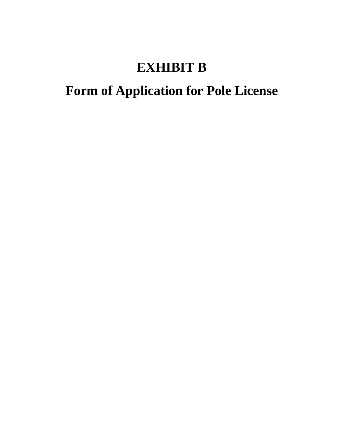## **EXHIBIT B**

## **Form of Application for Pole License**